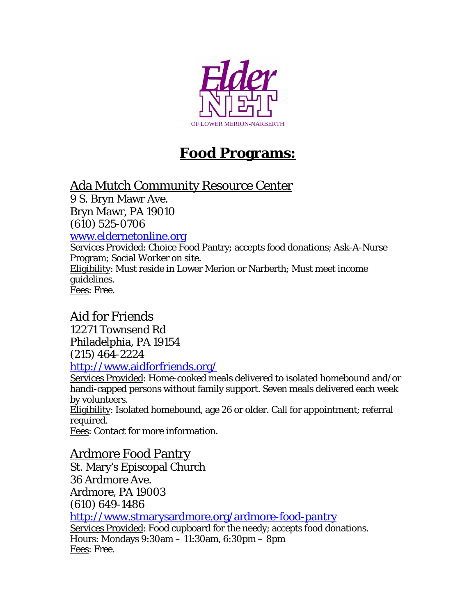

# **Food Programs:**

## Ada Mutch Community Resource Center

9 S. Bryn Mawr Ave. Bryn Mawr, PA 19010 (610) 525-0706

#### <www.eldernetonline.org>

Services Provided: Choice Food Pantry; accepts food donations; Ask-A-Nurse Program; Social Worker on site. Eligibility: Must reside in Lower Merion or Narberth; Must meet income guidelines. Fees: Free.

### Aid for Friends

12271 Townsend Rd Philadelphia, PA 19154 (215) 464-2224 <http://www.aidforfriends.org/>

Services Provided: Home-cooked meals delivered to isolated homebound and/or handi-capped persons without family support. Seven meals delivered each week by volunteers.

Eligibility: Isolated homebound, age 26 or older. Call for appointment; referral required.

Fees: Contact for more information.

#### Ardmore Food Pantry

St. Mary's Episcopal Church 36 Ardmore Ave. Ardmore, PA 19003 (610) 649-1486 <http://www.stmarysardmore.org/ardmore-food-pantry> Services Provided: Food cupboard for the needy; accepts food donations. Hours: Mondays 9:30am – 11:30am, 6:30pm – 8pm Fees: Free.